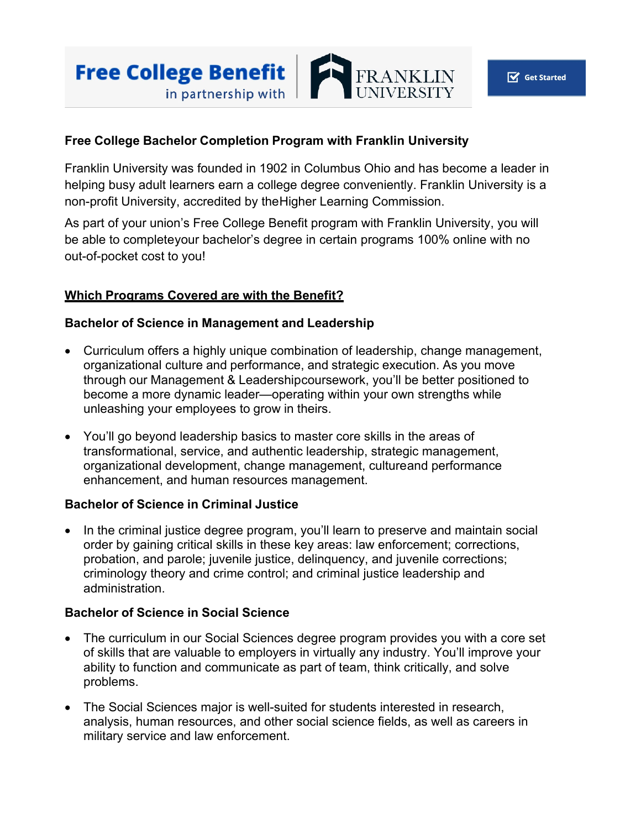

## **Free College Bachelor Completion Program with Franklin University**

Franklin University was founded in 1902 in Columbus Ohio and has become a leader in helping busy adult learners earn a college degree conveniently. Franklin University is a non-profit University, accredited by theHigher Learning Commission.

As part of your union's Free College Benefit program with Franklin University, you will be able to completeyour bachelor's degree in certain programs 100% online with no out-of-pocket cost to you!

## **Which Programs Covered are with the Benefit?**

### **Bachelor of Science in Management and Leadership**

- Curriculum offers a highly unique combination of leadership, change management, organizational culture and performance, and strategic execution. As you move through our Management & Leadershipcoursework, you'll be better positioned to become a more dynamic leader—operating within your own strengths while unleashing your employees to grow in theirs.
- You'll go beyond leadership basics to master core skills in the areas of transformational, service, and authentic leadership, strategic management, organizational development, change management, cultureand performance enhancement, and human resources management.

### **Bachelor of Science in Criminal Justice**

• In the criminal justice degree program, you'll learn to preserve and maintain social order by gaining critical skills in these key areas: law enforcement; corrections, probation, and parole; juvenile justice, delinquency, and juvenile corrections; criminology theory and crime control; and criminal justice leadership and administration.

### **Bachelor of Science in Social Science**

- The curriculum in our Social Sciences degree program provides you with a core set of skills that are valuable to employers in virtually any industry. You'll improve your ability to function and communicate as part of team, think critically, and solve problems.
- The Social Sciences major is well-suited for students interested in research, analysis, human resources, and other social science fields, as well as careers in military service and law enforcement.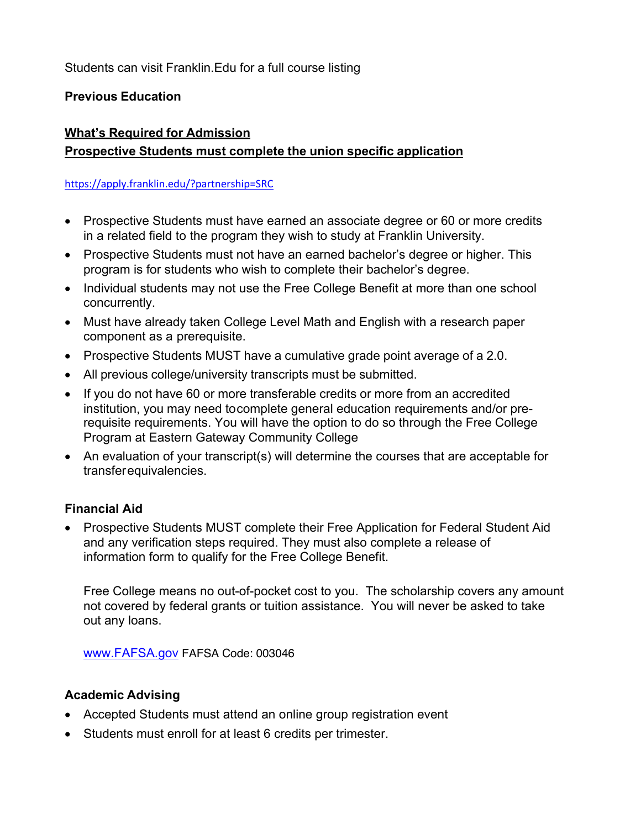Students can visit Franklin.Edu for a full course listing

## **Previous Education**

# **What's Required for Admission Prospective Students must complete the union specific application**

### https://apply.franklin.edu/?partnership=SRC

- Prospective Students must have earned an associate degree or 60 or more credits in a related field to the program they wish to study at Franklin University.
- Prospective Students must not have an earned bachelor's degree or higher. This program is for students who wish to complete their bachelor's degree.
- Individual students may not use the Free College Benefit at more than one school concurrently.
- Must have already taken College Level Math and English with a research paper component as a prerequisite.
- Prospective Students MUST have a cumulative grade point average of a 2.0.
- All previous college/university transcripts must be submitted.
- If you do not have 60 or more transferable credits or more from an accredited institution, you may need tocomplete general education requirements and/or prerequisite requirements. You will have the option to do so through the Free College Program at Eastern Gateway Community College
- An evaluation of your transcript(s) will determine the courses that are acceptable for transfer equivalencies.

## **Financial Aid**

• Prospective Students MUST complete their Free Application for Federal Student Aid and any verification steps required. They must also complete a release of information form to qualify for the Free College Benefit.

Free College means no out-of-pocket cost to you. The scholarship covers any amount not covered by federal grants or tuition assistance. You will never be asked to take out any loans.

www.FAFSA.gov FAFSA Code: 003046

## **Academic Advising**

- Accepted Students must attend an online group registration event
- Students must enroll for at least 6 credits per trimester.